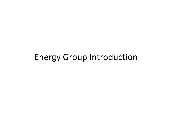## Energy Group Introduction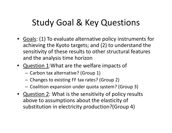# Study Goal & Key Questions

- Goals: (1) To evaluate alternative policy instruments for achieving the Kyoto targets; and (2) to understand the sensitivity of these results to other structural features and the analysis time horizon
- Question 1:What are the welfare impacts of
	- Carbon tax alternative? (Group 1)
	- Changes to existing FF tax rates? (Group 2)
	- $-$  Coalition expansion under quota system? (Group 3)
- Question 2: What is the sensitivity of policy results above to assumptions about the elasticity of substitution in electricity production?(Group 4)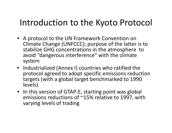## Introduction to the Kyoto Protocol

- A protocol to the UN Framework Convention on Climate Change (UNFCCC); purpose of the latter is to stabilize GHG concentrations in the atmosphere to avoid "dangerous interference" with the climate system
- Industrialized (Annex I) countries who ratified the protocol agreed to adopt specific emissions reduction targets (with <sup>a</sup> global target benchmarked to 1990 levels)
- In this version of GTAP‐E, starting point was global emissions reductions of ~15% relative to 1997, with varying levels of trading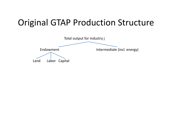# Original GTAP Production Structure

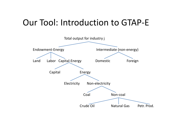## Our Tool: Introduction to GTAP‐E

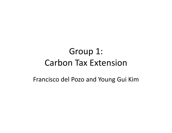# Group 1: Carbon Tax Extension

Francisco del Pozo and Young Gui Kim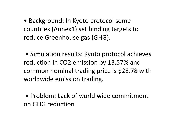• Background: In Kyoto protocol some countries (Annex1) set binding targets to reduce Greenhouse gas (GHG).

• Simulation results: Kyoto protocol achieves reduction in CO2 emission by 13.57% and common nominal trading price is \$28.78 with worldwide emission trading.

• Problem: Lack of world wide commitment on GHG reduction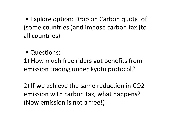• Explore option: Drop on Carbon quota of (some countries )and impose carbon tax (to all countries)

• Questions:

1) How much free riders got benefits from emission trading under Kyoto protocol?

2) If we achieve the same reduction in CO2 emission with carbon tax, what happens? (Now emission is not <sup>a</sup> free!)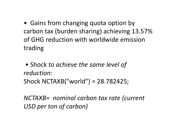• Gains from changing quota option by carbon tax (burden sharing) achieving 13.57% of GHG reduction with worldwide emission trading

• Shock *to achieve the same level of reduction*:Shock NCTAXB("world") <sup>=</sup> 28.782425;

*NCTAXB= nominal carbon tax rate (current USD per ton of carbon)*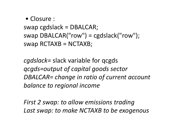• Closure :

swap cgdslack <sup>=</sup> DBALCAR; swap DBALCAR("row") <sup>=</sup> cgdslack("row");  $swap$  RCTAXB = NCTAXB;

*cgdslack=* slack variable for qcgds *qcgds=output of capital goods sector DBALCAR= change in ratio of current account balance to regional income*

*First 2 swap: to allow emissions trading Last swap: to make NCTAXB to be exogenous*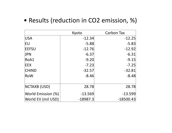#### • Results (reduction in CO2 emission, %)

|                    | Kyoto      | <b>Carbon Tax</b> |
|--------------------|------------|-------------------|
| <b>USA</b>         | $-12.34$   | $-12.25$          |
| <b>IEU</b>         | $-5.88$    | $-5.83$           |
| <b>IEEFSU</b>      | $-12.76$   | $-12.92$          |
| <b>JPN</b>         | $-6.37$    | $-6.31$           |
| RoA1               | $-9.20$    | $-9.15$           |
| <b>IEEX</b>        | $-7.23$    | $-7.25$           |
| <b>CHIND</b>       | $-32.57$   | $-32.81$          |
| RoW                | $-8.46$    | $-8.48$           |
| NCTAXB (USD)       | 28.78      | 28.78             |
| World Emission (%) | $-13.569$  | $-13.599$         |
| World EV (mil USD) | $-18987.3$ | $-18500.43$       |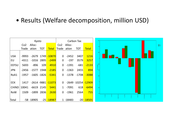#### • Results (Welfare decomposition, million USD)

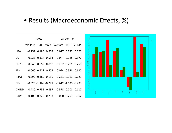#### • Results (Macroeconomic Effects, %)

|               | Kyoto                    |  |                     |                                                  | Carbon Tax      |             |
|---------------|--------------------------|--|---------------------|--------------------------------------------------|-----------------|-------------|
|               |                          |  |                     | Welfare TOT VGDP Welfare TOT                     |                 | <b>VGDP</b> |
| <b>USA</b>    | $-0.151$ 0.184 0.507     |  |                     | $0.017$ $0.372$                                  |                 | 0.670       |
| EU            | $-0.036$ $0.117$ $0.553$ |  |                     | $0.047$ 0.145                                    |                 | 0.572       |
| <b>IEEFSU</b> |                          |  |                     | $0.649$ $0.052$ $0.818$ $-0.282$ $-0.251$        |                 | 0.259       |
| <b>JPN</b>    |                          |  |                     | $-0.060$ $0.421$ $0.579$ $0.024$ $0.528$ $0.637$ |                 |             |
| RoA1          |                          |  |                     | $-0.399 -0.382$ $0.150$ $-0.231 -0.363$ $0.223$  |                 |             |
| <b>EEX</b>    |                          |  |                     | $-0.525 -1.469 -0.221$ $-0.612 -1.523$ $-0.293$  |                 |             |
| <b>CHIND</b>  |                          |  | 0.480 0.755 0.897   | $-0.573$ $0.208$                                 |                 | 0.112       |
| <b>RoW</b>    |                          |  | $0.106$ 0.329 0.733 |                                                  | $0.030$ $0.297$ | 0.662       |

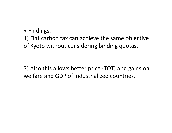#### • Findings:

#### 1) Flat carbon tax can achieve the same objective of Kyoto without considering binding quotas.

3) Also this allows better price (TOT) and gains on welfare and GDP of industrialized countries.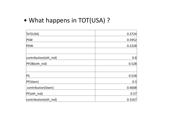#### • What happens in TOT(USA) ?

| ToT(USA)              | 0.3724 |
|-----------------------|--------|
| <b>PSW</b>            | 0.5952 |
| <b>PDW</b>            | 0.2228 |
|                       |        |
| contribution(oth_ind) | 0.8    |
| PFOB(oth ind)         | 0.528  |
|                       |        |
| <b>PS</b>             | 0.528  |
| PF(Vaen)              | 0.3    |
| contribution(Vaen)    | 0.4608 |
| PF(oth ind)           | 0.57   |
| contribution(oth ind) | 0.3167 |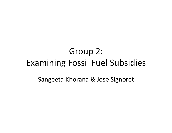# Group 2: Examining Fossil Fuel Subsidies

Sangeeta Khorana & Jose Signoret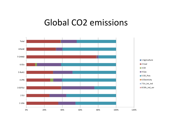### Global CO2 emissions

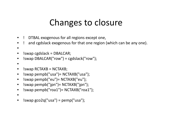## Changes to closure

- •! DTBAL exogenous for all regions except one,
- ! and cgdslack exogenous for that one region (which can be any one).
- •
- •!swap cgdslack <sup>=</sup> DBALCAR;
- •!swap DBALCAR("row") <sup>=</sup> cgdslack("row");
- •
- $\bullet$ !swap RCTAXB <sup>=</sup> NCTAXB;
- $\bullet$ !swap pempb("usa")= NCTAXB("usa");
- •!swap pempb("eu")= NCTAXB("eu");
- $\bullet$ !swap pempb("jpn")= NCTAXB("jpn");
- •!swap pempb("roa1")= NCTAXB("roa1");
- •
- • $!swap$  gco2q("usa") = pemp("usa");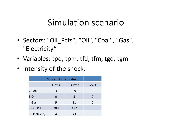## Simulation scenario

- Sectors: "Oil\_Pcts", "Oil", "Coal", "Gas", "Electricity"
- Variables: tpd, tpm, tfd, tfm, tgd, tgm
- Intensity of the shock:

|                      | <b>Shocks EU- Tax Rates</b> |         |                |
|----------------------|-----------------------------|---------|----------------|
|                      | <b>Firms</b>                | Private | Gov't          |
| 2 Coal               | 3                           | 69      | $\overline{0}$ |
| 3 Oil                |                             | 3       | 0              |
| 4 Gas                | 9                           | 81      | $\Omega$       |
| 5 Oil Pcts           | 208                         | 477     | $\Omega$       |
| <b>6 Electricity</b> |                             | 43      |                |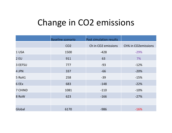# Change in CO2 emissions

|             | <b>Baseline scenario</b> | Post simulation results         |                     |
|-------------|--------------------------|---------------------------------|---------------------|
|             | CO <sub>2</sub>          | Ch in CO <sub>2</sub> emissions | Ch% in CO2emissions |
| 1 USA       | 1500                     | $-428$                          | $-29%$              |
| <b>2 EU</b> | 911                      | 63                              | 7%                  |
| 3 EEFSU     | 777                      | $-93$                           | $-12%$              |
| 4 JPN       | 337                      | $-66$                           | $-20%$              |
| 5 RoA1      | 258                      | $-39$                           | $-15%$              |
| 6 EEx       | 683                      | $-148$                          | $-22%$              |
| 7 CHIND     | 1081                     | $-110$                          | $-10%$              |
| 8 RoW       | 623                      | $-166$                          | $-27%$              |
|             |                          |                                 |                     |
| Global      | 6170                     | $-986$                          | $-16%$              |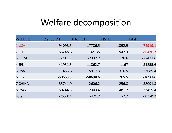## Welfare decomposition

| <b>WELFARE</b> | 2 alloc A1 | 6 tot E1   | 7 IS F1  | <b>Total</b> |
|----------------|------------|------------|----------|--------------|
| 1 USA          | $-94098.5$ | 17786.5    | 1392.9   | $-74919.1$   |
| <b>2 EU</b>    | 55248.6    | 32135      | $-947.3$ | 86436.3      |
| 3 EEFSU        | $-20117$   | $-7337.2$  | 26.6     | $-27427.6$   |
| 4 JPN          | $-41951.3$ | 11862.7    | $-1167$  | $-31255.6$   |
| 5 RoA1         | $-17455.6$ | $-5917.3$  | $-316.5$ | $-23689.4$   |
| 6 EEx          | $-50653.3$ | $-58698.6$ | 265.5    | $-109086$    |
| 7 CHIND        | $-35741.9$ | $-2606.2$  | 256.8    | $-38091.3$   |
| 8 RoW          | $-50244.5$ | 12303.4    | 481.7    | $-37459.4$   |
| <b>Total</b>   | $-255014$  | $-471.7$   | $-7.2$   | $-255492$    |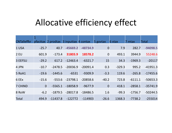## Allocative efficiency effect

| <b>CNTalleffkr</b> |                |            | pfacttax 2 prodtax 3 inputtax 4 contax |            | 5 govtax       | 6 xtax   | 7 mtax    | <b>Total</b> |
|--------------------|----------------|------------|----------------------------------------|------------|----------------|----------|-----------|--------------|
| 1 USA              | $-25.7$        | 40.7       | $-45669.2$                             | $-48734.9$ | $\mathbf 0$    | 7.9      | 282.7     | $-94098.5$   |
| <b>2 EU</b>        | 601.9          | $-173.4$   | 31803.9                                | 18578.2    | $\overline{0}$ | 493.1    | 3944.9    | 55248.6      |
| 3 EEFSU            | $-29.2$        | 617.2      | $-12463.4$                             | $-6321.7$  | 15             | 34.3     | $-1969.3$ | $-20117$     |
| 4 JPN              | $-10.7$        | $-2478.5$  | $-20036.9$                             | $-20091.4$ | 0.3            | $-329.3$ | 995.2     | $-41951.3$   |
| 5 RoA1             | $-19.6$        | $-1445.6$  | $-6531$                                | $-9309.9$  | $-3.3$         | 119.6    | $-265.8$  | $-17455.6$   |
| 6 EEx              | $-15.6$        | $-553.6$   | $-23798.1$                             | $-20858.6$ | $-40.2$        | 723.8    | $-6111.1$ | $-50653.3$   |
| <b>7 CHIND</b>     | $\overline{0}$ | $-5565.1$  | $-18058.9$                             | $-9677.9$  | $\overline{0}$ | 418.1    | $-2858.1$ | $-35741.9$   |
| 8 RoW              | $-6.2$         | $-1879.5$  | $-28017.8$                             | $-18486.5$ | 1.6            | $-99.3$  | $-1756.7$ | $-50244.5$   |
| <b>Total</b>       | 494.9          | $-11437.8$ | $-122772$                              | $-114903$  | $-26.6$        | 1368.3   | $-7738.2$ | $-255014$    |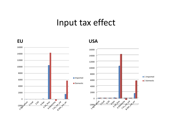### Input tax effect



**USA**

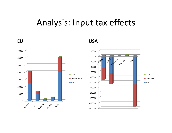## Analysis: Input tax effects



**EU USA**

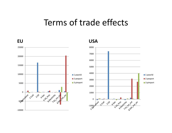#### Terms of trade effects



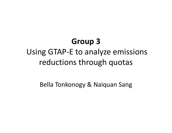# **Group 3**

## Using GTAP‐E to analyze emissions reductions through quotas

Bella Tonkonogy & Naiquan Sang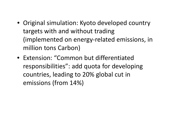- Original simulation: Kyoto developed country targets with and without trading (implemented on energy‐related emissions, in million tons Carbon)
- Extension: "Common but differentiated responsibilities": add quota for developing countries, leading to 20% global cut in emissions (from 14%)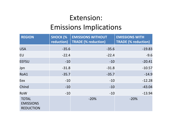#### Extension: Emissions Implications

| <b>REGION</b>                                        | <b>SHOCK (%</b><br>reduction) | <b>EMISSIONS WITHOUT</b><br><b>TRADE (% reduction)</b> | <b>EMISSIONS WITH</b><br><b>TRADE (% reduction)</b> |
|------------------------------------------------------|-------------------------------|--------------------------------------------------------|-----------------------------------------------------|
| <b>USA</b>                                           | $-35.6$                       | $-35.6$                                                | $-19.83$                                            |
| <b>EU</b>                                            | $-22.4$                       | $-22.4$                                                | $-9.6$                                              |
| <b>EEFSU</b>                                         | $-10$                         | $-10$                                                  | $-20.41$                                            |
| Jpn                                                  | $-31.8$                       | $-31.8$                                                | $-10.57$                                            |
| RoA1                                                 | $-35.7$                       | $-35.7$                                                | $-14.9$                                             |
| Eex                                                  | $-10$                         | $-10$                                                  | $-12.28$                                            |
| ChInd                                                | $-10$                         | $-10$                                                  | $-43.04$                                            |
| <b>RoW</b>                                           | $-10$                         | $-10$                                                  | $-13.94$                                            |
| <b>TOTAL</b><br><b>EMISSIONS</b><br><b>REDUCTION</b> |                               | $-20%$                                                 | $-20%$                                              |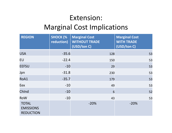### Extension: Marginal Cost Implications

| <b>REGION</b>                                        | <b>SHOCK (%</b><br>reduction) | <b>Marginal Cost</b><br><b>WITHOUT TRADE</b><br>(USD/ton C) | <b>Marginal Cost</b><br><b>WITH TRADE</b><br>(USD/ton C) |
|------------------------------------------------------|-------------------------------|-------------------------------------------------------------|----------------------------------------------------------|
| <b>USA</b>                                           | $-35.6$                       | 128                                                         | 53                                                       |
| EU                                                   | $-22.4$                       | 150                                                         | 53                                                       |
| <b>EEFSU</b>                                         | $-10$                         | 29                                                          | 53                                                       |
| Jpn                                                  | $-31.8$                       | 230                                                         | 53                                                       |
| RoA1                                                 | $-35.7$                       | 179                                                         | 53                                                       |
| Eex                                                  | $-10$                         | 49                                                          | 53                                                       |
| ChInd                                                | $-10$                         | 6                                                           | 52                                                       |
| <b>RoW</b>                                           | $-10$                         | 43                                                          | 53                                                       |
| <b>TOTAL</b><br><b>EMISSIONS</b><br><b>REDUCTION</b> |                               | $-20%$                                                      | $-20%$                                                   |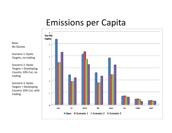## Emissions per Capita



Base:No Quotas

Scenario 1: Kyoto Targets, no trading

Scenario 2: Kyoto Targets <sup>+</sup> Developing Country 10% Cut, no trading

Scenario 3: Kyoto Targets <sup>+</sup> Developing Country 10% Cut, with trading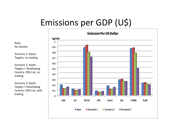# Emissions per GDP (U\$)



Base:No Quotas

Scenario 1: Kyoto Targets, no trading

Scenario 2: Kyoto Targets <sup>+</sup> Developing Country 10% Cut, no trading

Scenario 3: Kyoto Targets <sup>+</sup> Developing Country 10% Cut, with trading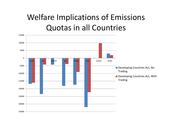## Welfare Implications of Emissions Quotas in all Countries

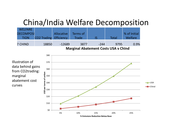### China/India Welfare Decomposition

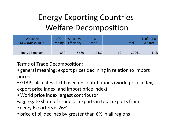## Energy Exporting Countries Welfare Decomposition

| <b>WELFARE</b><br><b>DECOMPOSITION</b> | CO <sub>2</sub><br>Trading | <b>Allocative</b><br>Efficiency | Terms of<br>Trade |    | <b>Total</b> | % of Initial<br><b>Welfare</b> |
|----------------------------------------|----------------------------|---------------------------------|-------------------|----|--------------|--------------------------------|
| <b>Energy Exporters</b>                | 830                        | $-5669$                         | $-17432$          | 10 | $-22261$     | $-1.1%$                        |

Terms of Trade Decomposition:

- general meaning: export prices declining in relation to import prices
- GTAP calculates ToT based on contributions (world price index, export price index, and import price index)
- World price index largest contributor •aggregate share of crude oil exports in total exports from
- Energy Exporters is 26%
- price of oil declines by greater than 6% in all regions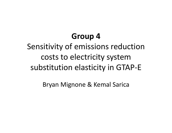## **Group 4**

# Sensitivity of emissions reduction costs to electricity system substitution elasticity in GTAP‐E

Bryan Mignone & Kemal Sarica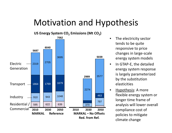## Motivation and Hypothesis



- $\bullet$  The electricity sector tends to be quite responsive to price changes in large ‐scale energy system models
- In GTAP-E, the detailed energy system response is largely parameterized by the substitution elasticities
- Hypothesis: A more flexible energy system or longer time frame of analysis will lower overall compliance cost of policies to mitigate climate change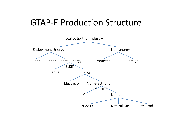## GTAP‐E Production Structure

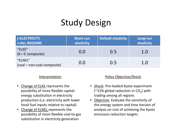# Study Design

| <b>j=ELECTRICITY,</b><br><b>r=ALL REGIONS</b> | <b>Short-run</b><br>elasticity | <b>Default elasticity</b> | Long-run<br>elasticity |
|-----------------------------------------------|--------------------------------|---------------------------|------------------------|
| "ELKE"<br>(K-E composite)                     | 0.0                            | 0.5                       | 1.0                    |
| "ELNEL"<br>(coal - non-coal composite)        | 0.0                            | 0.5                       | 1.0                    |

#### Interpretation

- • Change of ELKE represents the possibility of more flexible capital‐ energy substitution in electricity production (i.e. electricity with lower fossil fuel inputs relative to capital)
- •Change of ELNEL represents the possibility of more flexible coal‐to‐gas substitution in electricity generation

#### Policy Objective/Shock

- Shock: Pre-loaded Kyoto experiment ( $\approx$ 15% global reduction in CO<sub>2</sub>) with trading among all regions
- **•** Objective: Evaluate the sensitivity of the energy system and time horizon of analysis on cost of achieving the Kyoto emissions reduction targets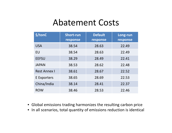### Abatement Costs

| \$/tonC             | <b>Short-run</b><br>response | <b>Default</b><br>response | Long-run<br>response |
|---------------------|------------------------------|----------------------------|----------------------|
| <b>USA</b>          | 38.54                        | 28.63                      | 22.49                |
| EU                  | 38.54                        | 28.63                      | 22.49                |
| <b>EEFSU</b>        | 38.29                        | 28.49                      | 22.41                |
| <b>JAPAN</b>        | 38.53                        | 28.62                      | 22.48                |
| <b>Rest Annex I</b> | 38.61                        | 28.67                      | 22.52                |
| E Exporters         | 38.65                        | 28.69                      | 22.53                |
| China/India         | 38.14                        | 28.41                      | 22.37                |
| <b>ROW</b>          | 38.46                        | 28.53                      | 22.46                |

- Global emissions trading harmonizes the resulting carbon price
- In all scenarios, total quantity of emissions reduction is identical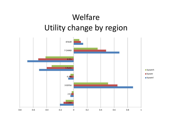## Welfare Utility change by region

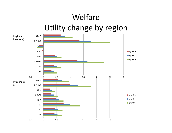#### WelfareUtility change by region ‐0.5 0 0.5 1 1.5 2 2.5 31 USA 2 EU3 EEFSU4 JPN5 RoA1 6 EEx 7 CHIND8 RoW**kyowtrh kyowtr kyowtrl**  $\overline{3}$ 1 USA2 EU3 EEFSU4 JPN5 RoA1 6 EEx 7 CHIND 8 RoW **kyowtrh kyowtr kyowtrl** Price index p(r) Regional income y(r)

‐0.5 0 0.5 1 1.5 2 2.5 3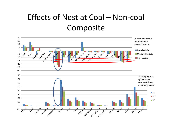## Effects of Nest at Coal – Non‐coal Composite

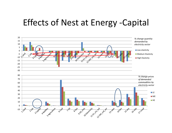## Effects of Nest at Energy ‐Capital